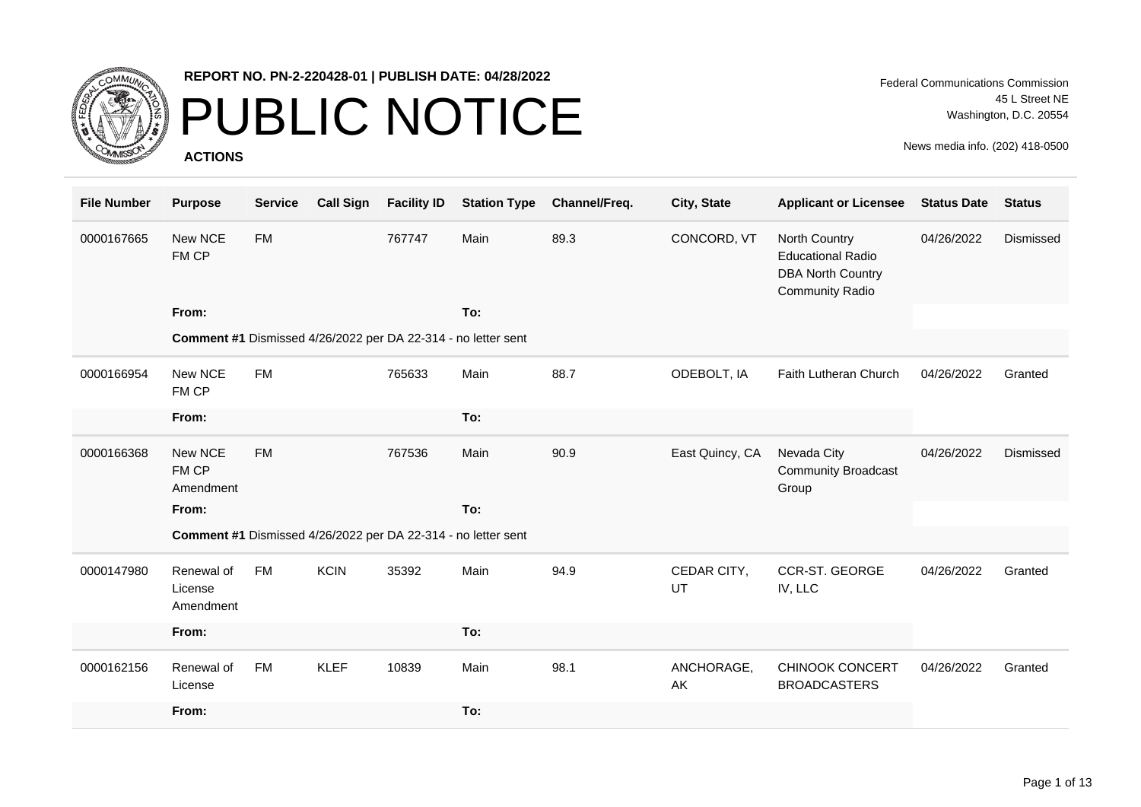

### PUBLIC NOTICE

**ACTIONS**

Federal Communications Commission 45 L Street NE Washington, D.C. 20554

| <b>File Number</b> | <b>Purpose</b>                     | <b>Service</b> | <b>Call Sign</b> | <b>Facility ID</b> | <b>Station Type</b>                                           | Channel/Freq. | City, State       | <b>Applicant or Licensee</b>                                                                    | <b>Status Date</b> | <b>Status</b> |
|--------------------|------------------------------------|----------------|------------------|--------------------|---------------------------------------------------------------|---------------|-------------------|-------------------------------------------------------------------------------------------------|--------------------|---------------|
| 0000167665         | New NCE<br>FM CP                   | <b>FM</b>      |                  | 767747             | Main                                                          | 89.3          | CONCORD, VT       | North Country<br><b>Educational Radio</b><br><b>DBA North Country</b><br><b>Community Radio</b> | 04/26/2022         | Dismissed     |
|                    | From:                              |                |                  |                    | To:                                                           |               |                   |                                                                                                 |                    |               |
|                    |                                    |                |                  |                    | Comment #1 Dismissed 4/26/2022 per DA 22-314 - no letter sent |               |                   |                                                                                                 |                    |               |
| 0000166954         | New NCE<br>FM CP                   | <b>FM</b>      |                  | 765633             | Main                                                          | 88.7          | ODEBOLT, IA       | Faith Lutheran Church                                                                           | 04/26/2022         | Granted       |
|                    | From:                              |                |                  |                    | To:                                                           |               |                   |                                                                                                 |                    |               |
| 0000166368         | New NCE<br>FM CP<br>Amendment      | <b>FM</b>      |                  | 767536             | Main                                                          | 90.9          | East Quincy, CA   | Nevada City<br><b>Community Broadcast</b><br>Group                                              | 04/26/2022         | Dismissed     |
|                    | From:                              |                |                  |                    | To:                                                           |               |                   |                                                                                                 |                    |               |
|                    |                                    |                |                  |                    | Comment #1 Dismissed 4/26/2022 per DA 22-314 - no letter sent |               |                   |                                                                                                 |                    |               |
| 0000147980         | Renewal of<br>License<br>Amendment | FM             | <b>KCIN</b>      | 35392              | Main                                                          | 94.9          | CEDAR CITY,<br>UT | CCR-ST. GEORGE<br>IV, LLC                                                                       | 04/26/2022         | Granted       |
|                    | From:                              |                |                  |                    | To:                                                           |               |                   |                                                                                                 |                    |               |
| 0000162156         | Renewal of<br>License              | <b>FM</b>      | <b>KLEF</b>      | 10839              | Main                                                          | 98.1          | ANCHORAGE,<br>AK  | <b>CHINOOK CONCERT</b><br><b>BROADCASTERS</b>                                                   | 04/26/2022         | Granted       |
|                    | From:                              |                |                  |                    | To:                                                           |               |                   |                                                                                                 |                    |               |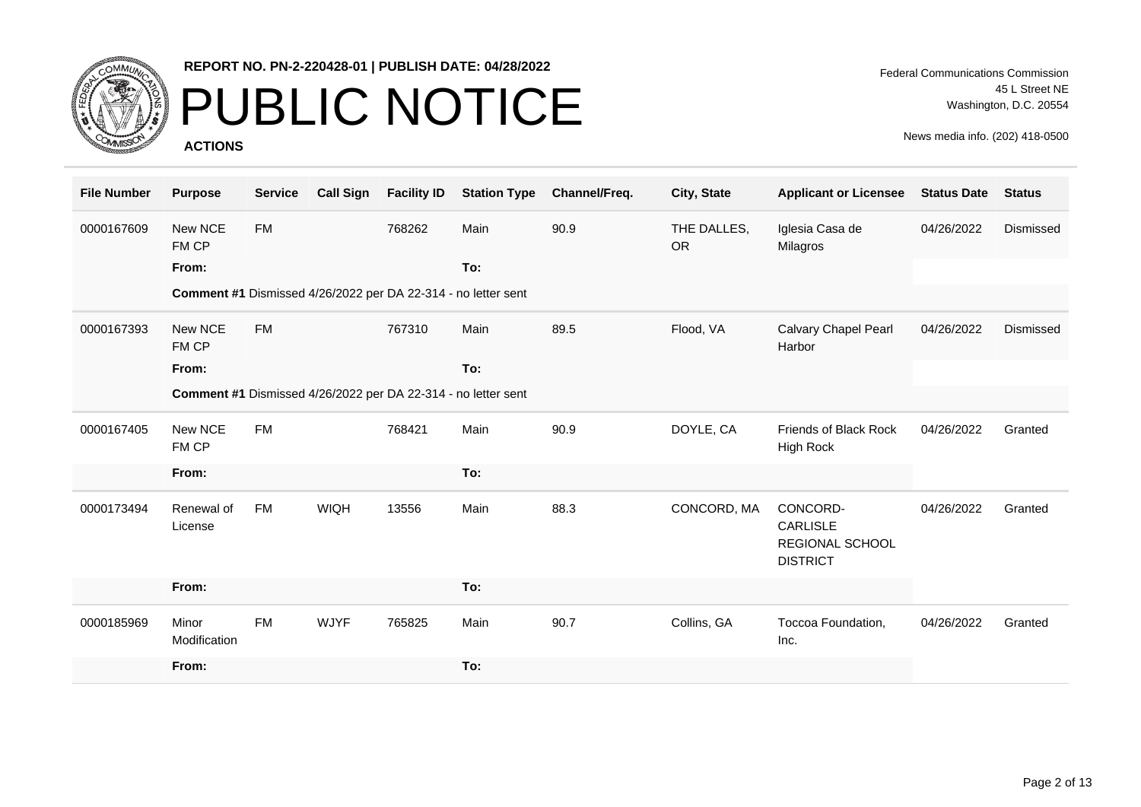

## PUBLIC NOTICE

**ACTIONS**

Federal Communications Commission 45 L Street NE Washington, D.C. 20554

| <b>File Number</b> | <b>Purpose</b>        | <b>Service</b> | <b>Call Sign</b> | <b>Facility ID</b> | <b>Station Type</b>                                           | Channel/Freq. | City, State              | <b>Applicant or Licensee</b>                                             | <b>Status Date</b> | <b>Status</b> |
|--------------------|-----------------------|----------------|------------------|--------------------|---------------------------------------------------------------|---------------|--------------------------|--------------------------------------------------------------------------|--------------------|---------------|
| 0000167609         | New NCE<br>FM CP      | <b>FM</b>      |                  | 768262             | Main                                                          | 90.9          | THE DALLES,<br><b>OR</b> | Iglesia Casa de<br>Milagros                                              | 04/26/2022         | Dismissed     |
|                    | From:                 |                |                  |                    | To:                                                           |               |                          |                                                                          |                    |               |
|                    |                       |                |                  |                    | Comment #1 Dismissed 4/26/2022 per DA 22-314 - no letter sent |               |                          |                                                                          |                    |               |
| 0000167393         | New NCE<br>FM CP      | <b>FM</b>      |                  | 767310             | Main                                                          | 89.5          | Flood, VA                | <b>Calvary Chapel Pearl</b><br>Harbor                                    | 04/26/2022         | Dismissed     |
|                    | From:                 |                |                  |                    | To:                                                           |               |                          |                                                                          |                    |               |
|                    |                       |                |                  |                    | Comment #1 Dismissed 4/26/2022 per DA 22-314 - no letter sent |               |                          |                                                                          |                    |               |
| 0000167405         | New NCE<br>FM CP      | <b>FM</b>      |                  | 768421             | Main                                                          | 90.9          | DOYLE, CA                | Friends of Black Rock<br>High Rock                                       | 04/26/2022         | Granted       |
|                    | From:                 |                |                  |                    | To:                                                           |               |                          |                                                                          |                    |               |
| 0000173494         | Renewal of<br>License | <b>FM</b>      | <b>WIQH</b>      | 13556              | Main                                                          | 88.3          | CONCORD, MA              | CONCORD-<br><b>CARLISLE</b><br><b>REGIONAL SCHOOL</b><br><b>DISTRICT</b> | 04/26/2022         | Granted       |
|                    | From:                 |                |                  |                    | To:                                                           |               |                          |                                                                          |                    |               |
| 0000185969         | Minor<br>Modification | <b>FM</b>      | <b>WJYF</b>      | 765825             | Main                                                          | 90.7          | Collins, GA              | Toccoa Foundation,<br>Inc.                                               | 04/26/2022         | Granted       |
|                    | From:                 |                |                  |                    | To:                                                           |               |                          |                                                                          |                    |               |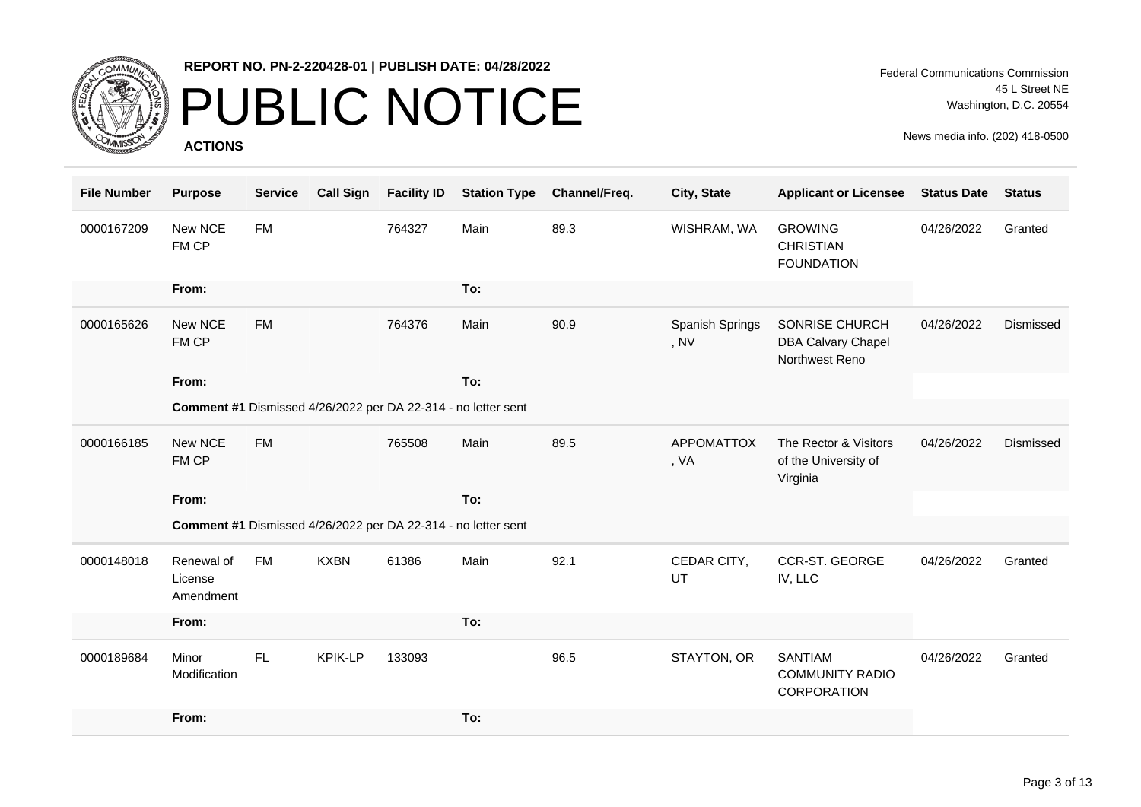

## PUBLIC NOTICE

**ACTIONS**

Federal Communications Commission 45 L Street NE Washington, D.C. 20554

| <b>File Number</b> | <b>Purpose</b>                     | <b>Service</b> | <b>Call Sign</b> | <b>Facility ID</b> | <b>Station Type</b>                                           | Channel/Freq. | City, State               | <b>Applicant or Licensee</b>                                  | <b>Status Date</b> | <b>Status</b> |
|--------------------|------------------------------------|----------------|------------------|--------------------|---------------------------------------------------------------|---------------|---------------------------|---------------------------------------------------------------|--------------------|---------------|
| 0000167209         | New NCE<br>FM CP                   | <b>FM</b>      |                  | 764327             | Main                                                          | 89.3          | WISHRAM, WA               | <b>GROWING</b><br><b>CHRISTIAN</b><br><b>FOUNDATION</b>       | 04/26/2022         | Granted       |
|                    | From:                              |                |                  |                    | To:                                                           |               |                           |                                                               |                    |               |
| 0000165626         | New NCE<br>FM CP                   | <b>FM</b>      |                  | 764376             | Main                                                          | 90.9          | Spanish Springs<br>, NV   | SONRISE CHURCH<br><b>DBA Calvary Chapel</b><br>Northwest Reno | 04/26/2022         | Dismissed     |
|                    | From:                              |                |                  |                    | To:                                                           |               |                           |                                                               |                    |               |
|                    |                                    |                |                  |                    | Comment #1 Dismissed 4/26/2022 per DA 22-314 - no letter sent |               |                           |                                                               |                    |               |
| 0000166185         | New NCE<br>FM CP                   | <b>FM</b>      |                  | 765508             | Main                                                          | 89.5          | <b>APPOMATTOX</b><br>, VA | The Rector & Visitors<br>of the University of<br>Virginia     | 04/26/2022         | Dismissed     |
|                    | From:                              |                |                  |                    | To:                                                           |               |                           |                                                               |                    |               |
|                    |                                    |                |                  |                    | Comment #1 Dismissed 4/26/2022 per DA 22-314 - no letter sent |               |                           |                                                               |                    |               |
| 0000148018         | Renewal of<br>License<br>Amendment | <b>FM</b>      | <b>KXBN</b>      | 61386              | Main                                                          | 92.1          | CEDAR CITY,<br>UT         | CCR-ST. GEORGE<br>IV, LLC                                     | 04/26/2022         | Granted       |
|                    | From:                              |                |                  |                    | To:                                                           |               |                           |                                                               |                    |               |
| 0000189684         | Minor<br>Modification              | FL             | <b>KPIK-LP</b>   | 133093             |                                                               | 96.5          | STAYTON, OR               | <b>SANTIAM</b><br><b>COMMUNITY RADIO</b><br>CORPORATION       | 04/26/2022         | Granted       |
|                    | From:                              |                |                  |                    | To:                                                           |               |                           |                                                               |                    |               |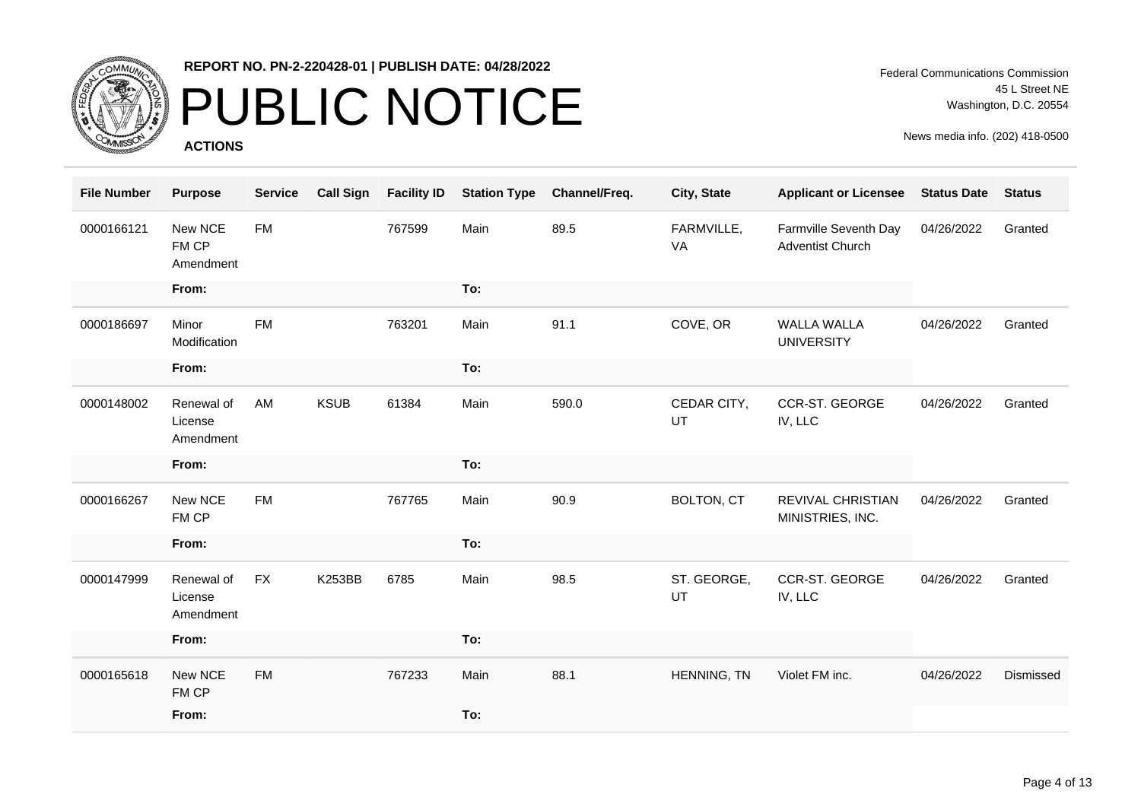

### PUBLIC NOTICE

**ACTIONS**

Federal Communications Commission 45 L Street NE Washington, D.C. 20554

| <b>File Number</b> | <b>Purpose</b>                     | <b>Service</b> | <b>Call Sign</b> | <b>Facility ID</b> | <b>Station Type</b> | Channel/Freq. | City, State       | <b>Applicant or Licensee</b>                     | <b>Status Date</b> | <b>Status</b> |
|--------------------|------------------------------------|----------------|------------------|--------------------|---------------------|---------------|-------------------|--------------------------------------------------|--------------------|---------------|
| 0000166121         | New NCE<br>FM CP<br>Amendment      | <b>FM</b>      |                  | 767599             | Main                | 89.5          | FARMVILLE,<br>VA  | Farmville Seventh Day<br><b>Adventist Church</b> | 04/26/2022         | Granted       |
|                    | From:                              |                |                  |                    | To:                 |               |                   |                                                  |                    |               |
| 0000186697         | Minor<br>Modification              | <b>FM</b>      |                  | 763201             | Main                | 91.1          | COVE, OR          | <b>WALLA WALLA</b><br><b>UNIVERSITY</b>          | 04/26/2022         | Granted       |
|                    | From:                              |                |                  |                    | To:                 |               |                   |                                                  |                    |               |
| 0000148002         | Renewal of<br>License<br>Amendment | AM             | <b>KSUB</b>      | 61384              | Main                | 590.0         | CEDAR CITY,<br>UT | CCR-ST. GEORGE<br>IV, LLC                        | 04/26/2022         | Granted       |
|                    | From:                              |                |                  |                    | To:                 |               |                   |                                                  |                    |               |
| 0000166267         | New NCE<br>FM CP                   | <b>FM</b>      |                  | 767765             | Main                | 90.9          | <b>BOLTON, CT</b> | <b>REVIVAL CHRISTIAN</b><br>MINISTRIES, INC.     | 04/26/2022         | Granted       |
|                    | From:                              |                |                  |                    | To:                 |               |                   |                                                  |                    |               |
| 0000147999         | Renewal of<br>License<br>Amendment | <b>FX</b>      | <b>K253BB</b>    | 6785               | Main                | 98.5          | ST. GEORGE,<br>UT | <b>CCR-ST. GEORGE</b><br>IV, LLC                 | 04/26/2022         | Granted       |
|                    | From:                              |                |                  |                    | To:                 |               |                   |                                                  |                    |               |
| 0000165618         | New NCE<br>FM CP                   | <b>FM</b>      |                  | 767233             | Main                | 88.1          | HENNING, TN       | Violet FM inc.                                   | 04/26/2022         | Dismissed     |
|                    | From:                              |                |                  |                    | To:                 |               |                   |                                                  |                    |               |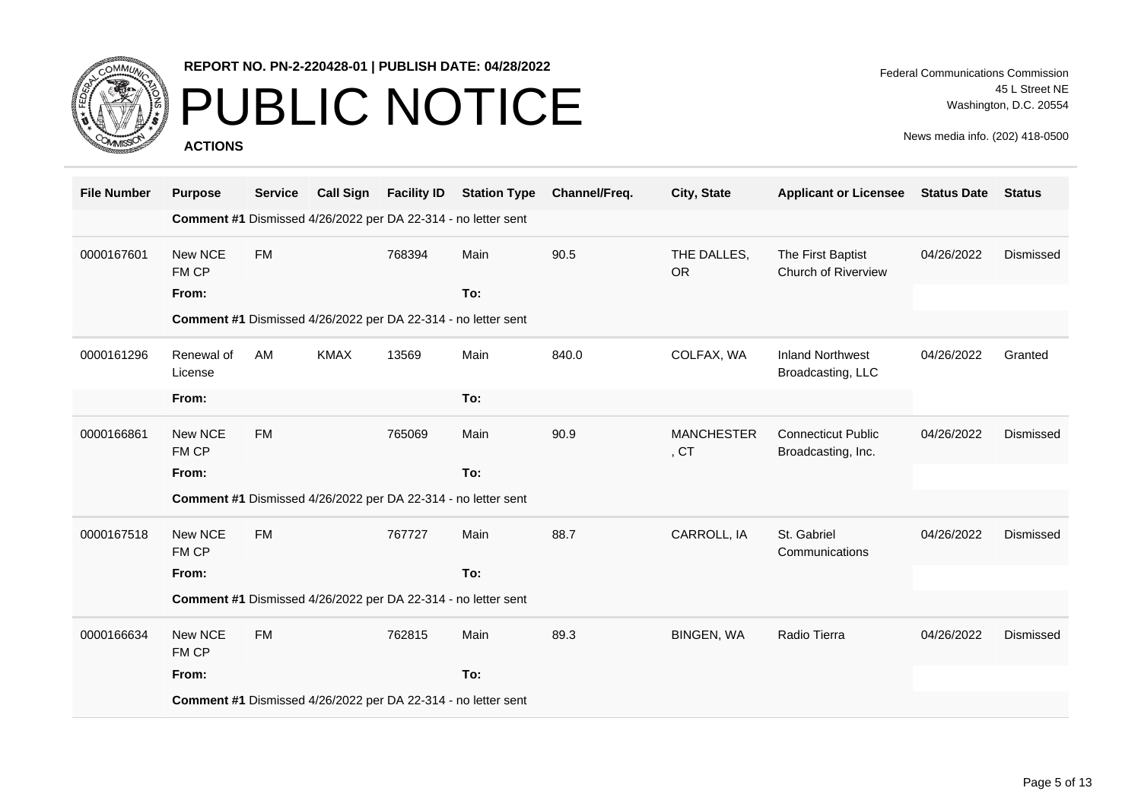

# PUBLIC NOTICE

**ACTIONS**

Federal Communications Commission 45 L Street NE Washington, D.C. 20554

| <b>File Number</b> | <b>Purpose</b>        | <b>Service</b> | <b>Call Sign</b> | <b>Facility ID</b> | <b>Station Type</b>                                           | Channel/Freq. | City, State                           | <b>Applicant or Licensee</b>                    | <b>Status Date</b> | <b>Status</b> |
|--------------------|-----------------------|----------------|------------------|--------------------|---------------------------------------------------------------|---------------|---------------------------------------|-------------------------------------------------|--------------------|---------------|
|                    |                       |                |                  |                    | Comment #1 Dismissed 4/26/2022 per DA 22-314 - no letter sent |               |                                       |                                                 |                    |               |
| 0000167601         | New NCE<br>FM CP      | <b>FM</b>      |                  | 768394             | Main                                                          | 90.5          | THE DALLES,<br><b>OR</b>              | The First Baptist<br>Church of Riverview        | 04/26/2022         | Dismissed     |
|                    | From:                 |                |                  |                    | To:                                                           |               |                                       |                                                 |                    |               |
|                    |                       |                |                  |                    | Comment #1 Dismissed 4/26/2022 per DA 22-314 - no letter sent |               |                                       |                                                 |                    |               |
| 0000161296         | Renewal of<br>License | AM             | <b>KMAX</b>      | 13569              | Main                                                          | 840.0         | COLFAX, WA                            | <b>Inland Northwest</b><br>Broadcasting, LLC    | 04/26/2022         | Granted       |
|                    | From:                 |                |                  |                    | To:                                                           |               |                                       |                                                 |                    |               |
| 0000166861         | New NCE<br>FM CP      | <b>FM</b>      |                  | 765069             | Main                                                          | 90.9          | <b>MANCHESTER</b><br>, C <sub>T</sub> | <b>Connecticut Public</b><br>Broadcasting, Inc. | 04/26/2022         | Dismissed     |
|                    | From:                 |                |                  |                    | To:                                                           |               |                                       |                                                 |                    |               |
|                    |                       |                |                  |                    | Comment #1 Dismissed 4/26/2022 per DA 22-314 - no letter sent |               |                                       |                                                 |                    |               |
| 0000167518         | New NCE<br>FM CP      | <b>FM</b>      |                  | 767727             | Main                                                          | 88.7          | CARROLL, IA                           | St. Gabriel<br>Communications                   | 04/26/2022         | Dismissed     |
|                    | From:                 |                |                  |                    | To:                                                           |               |                                       |                                                 |                    |               |
|                    |                       |                |                  |                    | Comment #1 Dismissed 4/26/2022 per DA 22-314 - no letter sent |               |                                       |                                                 |                    |               |
| 0000166634         | New NCE<br>FM CP      | <b>FM</b>      |                  | 762815             | Main                                                          | 89.3          | BINGEN, WA                            | Radio Tierra                                    | 04/26/2022         | Dismissed     |
|                    | From:                 |                |                  |                    | To:                                                           |               |                                       |                                                 |                    |               |
|                    |                       |                |                  |                    | Comment #1 Dismissed 4/26/2022 per DA 22-314 - no letter sent |               |                                       |                                                 |                    |               |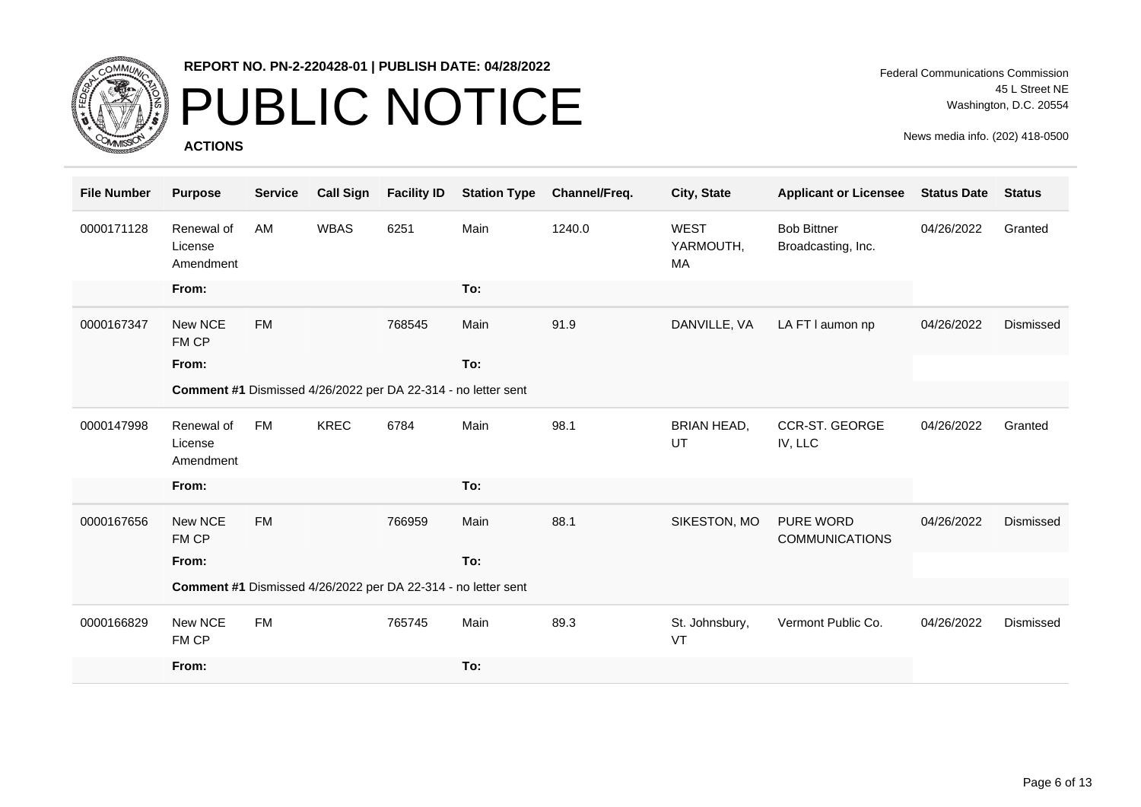

## PUBLIC NOTICE

**ACTIONS**

| <b>File Number</b> | <b>Purpose</b>                     | <b>Service</b> | <b>Call Sign</b> | <b>Facility ID</b> | <b>Station Type</b>                                           | Channel/Freq. | City, State                    | <b>Applicant or Licensee</b>              | <b>Status Date</b> | <b>Status</b> |
|--------------------|------------------------------------|----------------|------------------|--------------------|---------------------------------------------------------------|---------------|--------------------------------|-------------------------------------------|--------------------|---------------|
| 0000171128         | Renewal of<br>License<br>Amendment | <b>AM</b>      | <b>WBAS</b>      | 6251               | Main                                                          | 1240.0        | <b>WEST</b><br>YARMOUTH,<br>МA | <b>Bob Bittner</b><br>Broadcasting, Inc.  | 04/26/2022         | Granted       |
|                    | From:                              |                |                  |                    | To:                                                           |               |                                |                                           |                    |               |
| 0000167347         | New NCE<br>FM CP                   | <b>FM</b>      |                  | 768545             | Main                                                          | 91.9          | DANVILLE, VA                   | LA FT I aumon np                          | 04/26/2022         | Dismissed     |
|                    | From:                              |                |                  |                    | To:                                                           |               |                                |                                           |                    |               |
|                    |                                    |                |                  |                    | Comment #1 Dismissed 4/26/2022 per DA 22-314 - no letter sent |               |                                |                                           |                    |               |
| 0000147998         | Renewal of<br>License<br>Amendment | <b>FM</b>      | <b>KREC</b>      | 6784               | Main                                                          | 98.1          | <b>BRIAN HEAD,</b><br>UT       | <b>CCR-ST. GEORGE</b><br>IV, LLC          | 04/26/2022         | Granted       |
|                    | From:                              |                |                  |                    | To:                                                           |               |                                |                                           |                    |               |
| 0000167656         | New NCE<br>FM CP                   | <b>FM</b>      |                  | 766959             | Main                                                          | 88.1          | SIKESTON, MO                   | <b>PURE WORD</b><br><b>COMMUNICATIONS</b> | 04/26/2022         | Dismissed     |
|                    | From:                              |                |                  |                    | To:                                                           |               |                                |                                           |                    |               |
|                    |                                    |                |                  |                    | Comment #1 Dismissed 4/26/2022 per DA 22-314 - no letter sent |               |                                |                                           |                    |               |
| 0000166829         | New NCE<br>FM CP                   | <b>FM</b>      |                  | 765745             | Main                                                          | 89.3          | St. Johnsbury,<br>VT           | Vermont Public Co.                        | 04/26/2022         | Dismissed     |
|                    | From:                              |                |                  |                    | To:                                                           |               |                                |                                           |                    |               |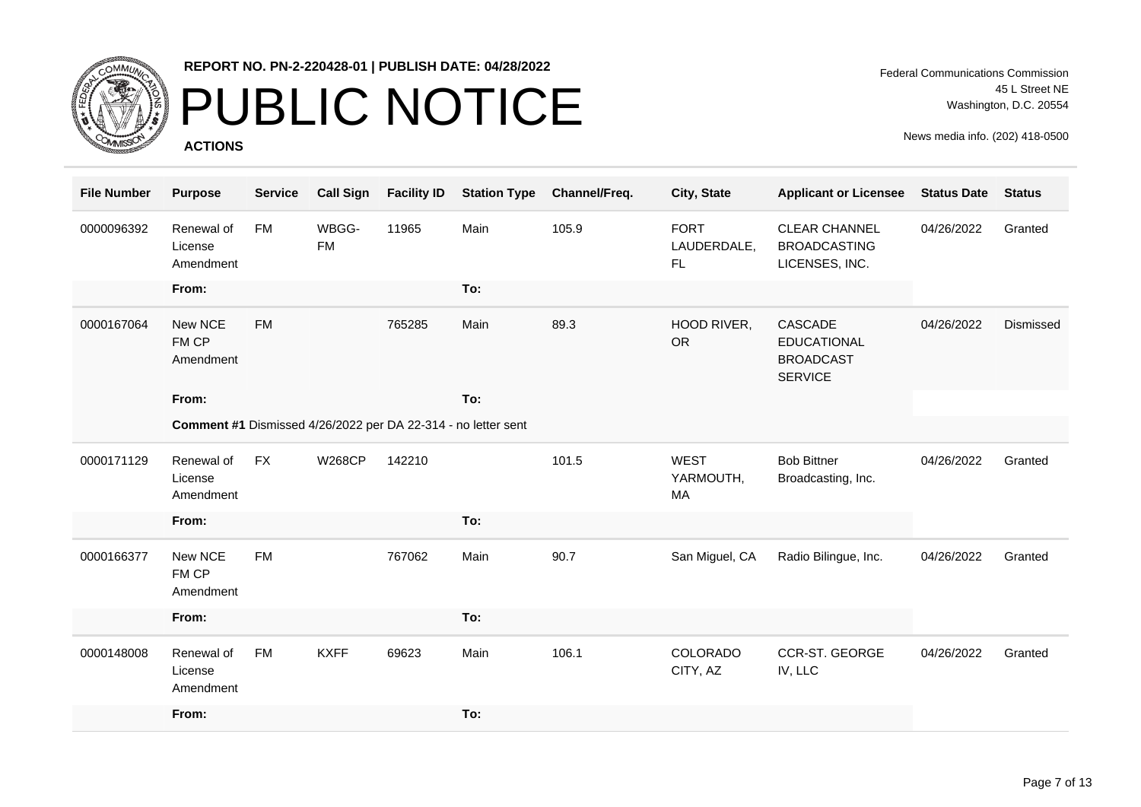

## PUBLIC NOTICE

**ACTIONS**

Federal Communications Commission 45 L Street NE Washington, D.C. 20554

| <b>File Number</b> | <b>Purpose</b>                     | <b>Service</b> | <b>Call Sign</b>   | <b>Facility ID</b> | <b>Station Type</b>                                           | Channel/Freq. | City, State                       | <b>Applicant or Licensee</b>                                        | <b>Status Date</b> | <b>Status</b> |
|--------------------|------------------------------------|----------------|--------------------|--------------------|---------------------------------------------------------------|---------------|-----------------------------------|---------------------------------------------------------------------|--------------------|---------------|
| 0000096392         | Renewal of<br>License<br>Amendment | <b>FM</b>      | WBGG-<br><b>FM</b> | 11965              | Main                                                          | 105.9         | <b>FORT</b><br>LAUDERDALE,<br>FL. | <b>CLEAR CHANNEL</b><br><b>BROADCASTING</b><br>LICENSES, INC.       | 04/26/2022         | Granted       |
|                    | From:                              |                |                    |                    | To:                                                           |               |                                   |                                                                     |                    |               |
| 0000167064         | New NCE<br>FM CP<br>Amendment      | <b>FM</b>      |                    | 765285             | Main                                                          | 89.3          | HOOD RIVER,<br><b>OR</b>          | CASCADE<br><b>EDUCATIONAL</b><br><b>BROADCAST</b><br><b>SERVICE</b> | 04/26/2022         | Dismissed     |
|                    | From:                              |                |                    |                    | To:                                                           |               |                                   |                                                                     |                    |               |
|                    |                                    |                |                    |                    | Comment #1 Dismissed 4/26/2022 per DA 22-314 - no letter sent |               |                                   |                                                                     |                    |               |
| 0000171129         | Renewal of<br>License<br>Amendment | <b>FX</b>      | <b>W268CP</b>      | 142210             |                                                               | 101.5         | <b>WEST</b><br>YARMOUTH,<br>MA    | <b>Bob Bittner</b><br>Broadcasting, Inc.                            | 04/26/2022         | Granted       |
|                    | From:                              |                |                    |                    | To:                                                           |               |                                   |                                                                     |                    |               |
| 0000166377         | New NCE<br>FM CP<br>Amendment      | <b>FM</b>      |                    | 767062             | Main                                                          | 90.7          | San Miguel, CA                    | Radio Bilingue, Inc.                                                | 04/26/2022         | Granted       |
|                    | From:                              |                |                    |                    | To:                                                           |               |                                   |                                                                     |                    |               |
| 0000148008         | Renewal of<br>License<br>Amendment | <b>FM</b>      | <b>KXFF</b>        | 69623              | Main                                                          | 106.1         | <b>COLORADO</b><br>CITY, AZ       | <b>CCR-ST. GEORGE</b><br>IV, LLC                                    | 04/26/2022         | Granted       |
|                    | From:                              |                |                    |                    | To:                                                           |               |                                   |                                                                     |                    |               |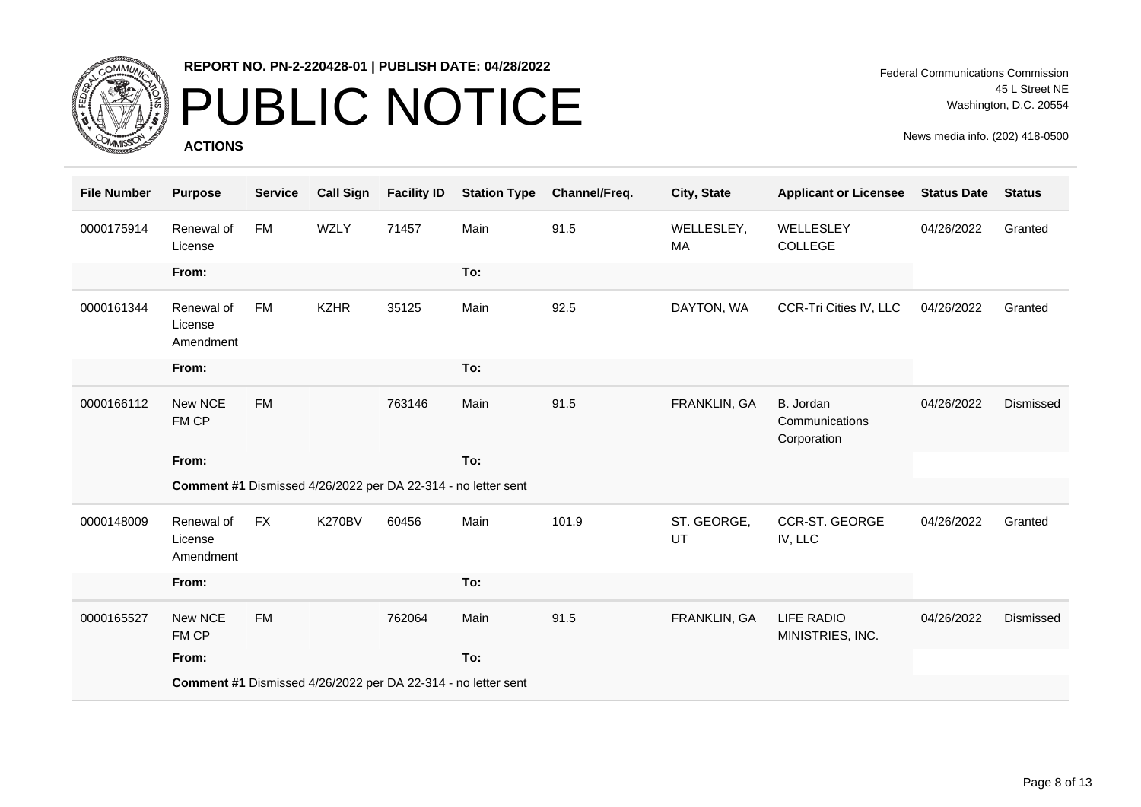

## PUBLIC NOTICE

**ACTIONS**

Federal Communications Commission 45 L Street NE Washington, D.C. 20554

| <b>File Number</b> | <b>Purpose</b>                     | <b>Service</b> | <b>Call Sign</b> | <b>Facility ID</b> | <b>Station Type</b>                                           | Channel/Freq. | City, State       | <b>Applicant or Licensee</b>               | <b>Status Date</b> | <b>Status</b> |
|--------------------|------------------------------------|----------------|------------------|--------------------|---------------------------------------------------------------|---------------|-------------------|--------------------------------------------|--------------------|---------------|
| 0000175914         | Renewal of<br>License              | <b>FM</b>      | <b>WZLY</b>      | 71457              | Main                                                          | 91.5          | WELLESLEY,<br>MA  | WELLESLEY<br>COLLEGE                       | 04/26/2022         | Granted       |
|                    | From:                              |                |                  |                    | To:                                                           |               |                   |                                            |                    |               |
| 0000161344         | Renewal of<br>License<br>Amendment | <b>FM</b>      | <b>KZHR</b>      | 35125              | Main                                                          | 92.5          | DAYTON, WA        | CCR-Tri Cities IV, LLC                     | 04/26/2022         | Granted       |
|                    | From:                              |                |                  |                    | To:                                                           |               |                   |                                            |                    |               |
| 0000166112         | New NCE<br>FM CP                   | <b>FM</b>      |                  | 763146             | Main                                                          | 91.5          | FRANKLIN, GA      | B. Jordan<br>Communications<br>Corporation | 04/26/2022         | Dismissed     |
|                    | From:                              |                |                  |                    | To:                                                           |               |                   |                                            |                    |               |
|                    |                                    |                |                  |                    | Comment #1 Dismissed 4/26/2022 per DA 22-314 - no letter sent |               |                   |                                            |                    |               |
| 0000148009         | Renewal of<br>License<br>Amendment | <b>FX</b>      | <b>K270BV</b>    | 60456              | Main                                                          | 101.9         | ST. GEORGE,<br>UT | <b>CCR-ST. GEORGE</b><br>IV, LLC           | 04/26/2022         | Granted       |
|                    | From:                              |                |                  |                    | To:                                                           |               |                   |                                            |                    |               |
| 0000165527         | New NCE<br>FM CP                   | <b>FM</b>      |                  | 762064             | Main                                                          | 91.5          | FRANKLIN, GA      | <b>LIFE RADIO</b><br>MINISTRIES, INC.      | 04/26/2022         | Dismissed     |
|                    | From:                              |                |                  |                    | To:                                                           |               |                   |                                            |                    |               |
|                    |                                    |                |                  |                    | Comment #1 Dismissed 4/26/2022 per DA 22-314 - no letter sent |               |                   |                                            |                    |               |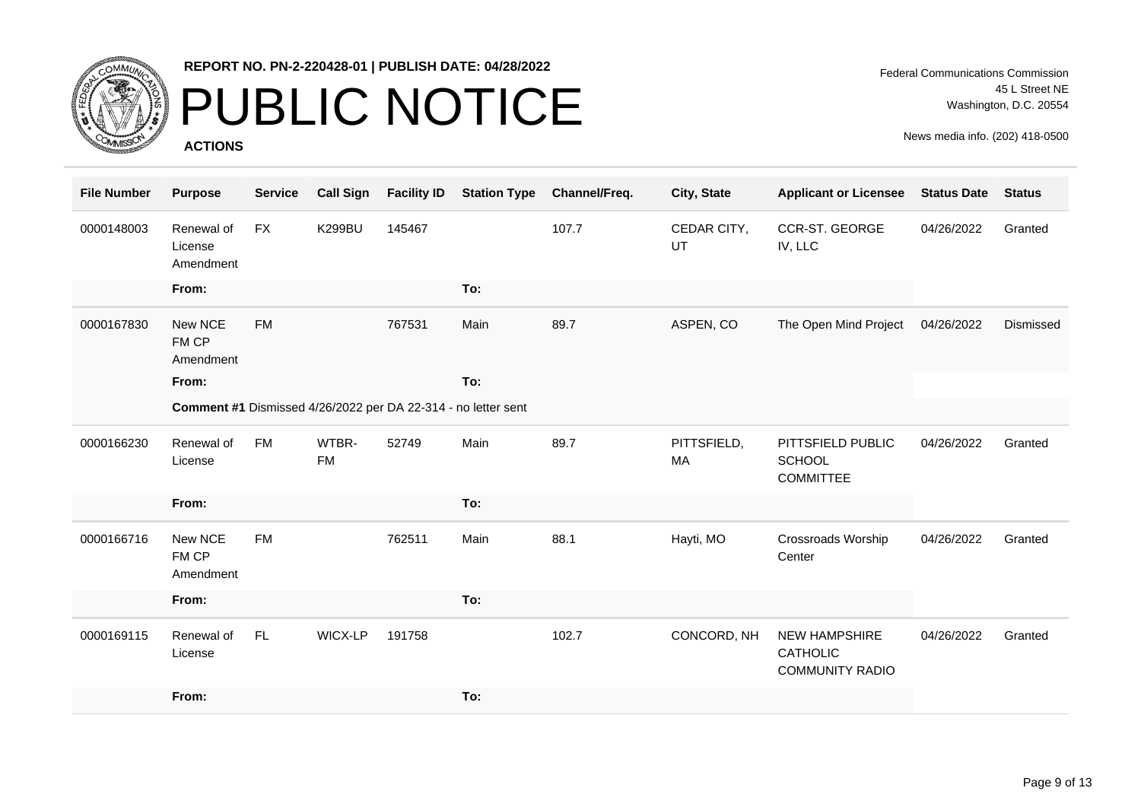

## PUBLIC NOTICE

**ACTIONS**

| <b>File Number</b> | <b>Purpose</b>                     | <b>Service</b> | <b>Call Sign</b>   | <b>Facility ID</b> | <b>Station Type</b>                                           | Channel/Freq. | City, State              | <b>Applicant or Licensee</b>                                      | <b>Status Date</b> | <b>Status</b> |
|--------------------|------------------------------------|----------------|--------------------|--------------------|---------------------------------------------------------------|---------------|--------------------------|-------------------------------------------------------------------|--------------------|---------------|
| 0000148003         | Renewal of<br>License<br>Amendment | <b>FX</b>      | <b>K299BU</b>      | 145467             |                                                               | 107.7         | CEDAR CITY,<br><b>UT</b> | CCR-ST. GEORGE<br>IV, LLC                                         | 04/26/2022         | Granted       |
|                    | From:                              |                |                    |                    | To:                                                           |               |                          |                                                                   |                    |               |
| 0000167830         | New NCE<br>FM CP<br>Amendment      | <b>FM</b>      |                    | 767531             | Main                                                          | 89.7          | ASPEN, CO                | The Open Mind Project                                             | 04/26/2022         | Dismissed     |
|                    | From:                              |                |                    |                    | To:                                                           |               |                          |                                                                   |                    |               |
|                    |                                    |                |                    |                    | Comment #1 Dismissed 4/26/2022 per DA 22-314 - no letter sent |               |                          |                                                                   |                    |               |
| 0000166230         | Renewal of<br>License              | <b>FM</b>      | WTBR-<br><b>FM</b> | 52749              | Main                                                          | 89.7          | PITTSFIELD,<br>MA        | PITTSFIELD PUBLIC<br><b>SCHOOL</b><br><b>COMMITTEE</b>            | 04/26/2022         | Granted       |
|                    | From:                              |                |                    |                    | To:                                                           |               |                          |                                                                   |                    |               |
| 0000166716         | New NCE<br>FM CP<br>Amendment      | <b>FM</b>      |                    | 762511             | Main                                                          | 88.1          | Hayti, MO                | Crossroads Worship<br>Center                                      | 04/26/2022         | Granted       |
|                    | From:                              |                |                    |                    | To:                                                           |               |                          |                                                                   |                    |               |
| 0000169115         | Renewal of<br>License              | FL.            | WICX-LP            | 191758             |                                                               | 102.7         | CONCORD, NH              | <b>NEW HAMPSHIRE</b><br><b>CATHOLIC</b><br><b>COMMUNITY RADIO</b> | 04/26/2022         | Granted       |
|                    | From:                              |                |                    |                    | To:                                                           |               |                          |                                                                   |                    |               |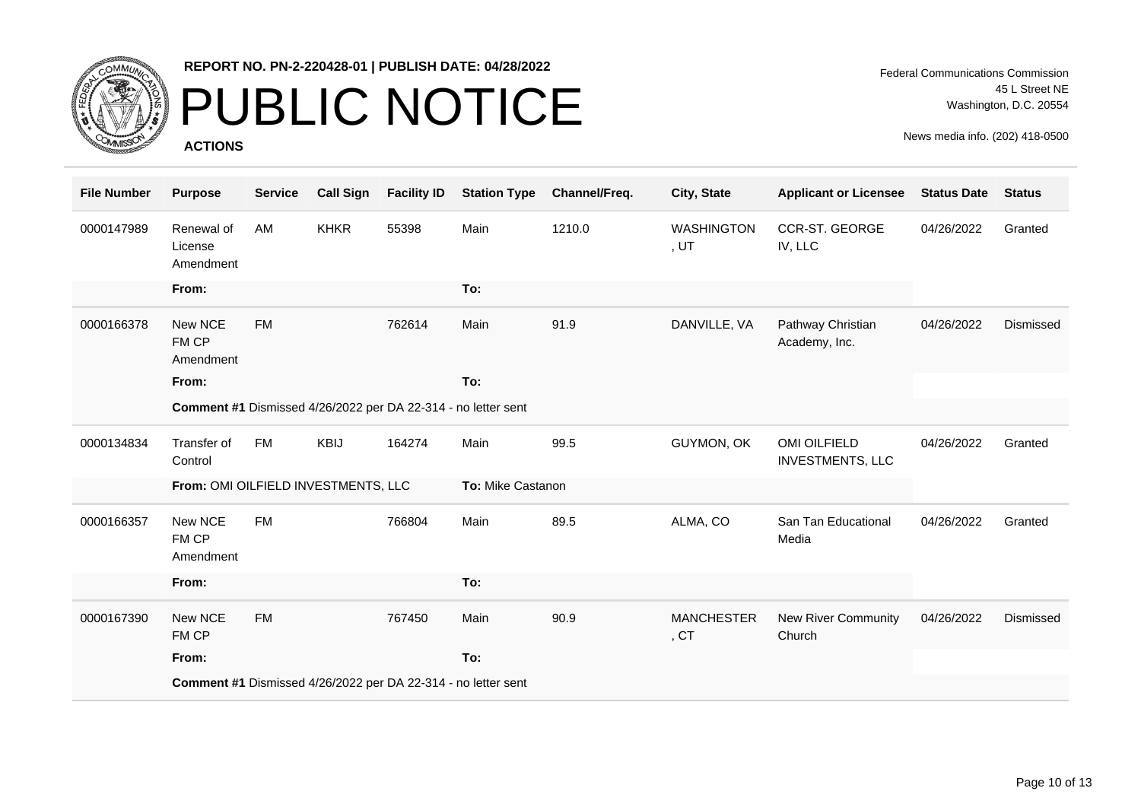

### PUBLIC NOTICE

**ACTIONS**

| <b>File Number</b> | <b>Purpose</b>                      | <b>Service</b> | <b>Call Sign</b> | <b>Facility ID</b> | <b>Station Type</b>                                           | Channel/Freq. | City, State                           | <b>Applicant or Licensee</b>            | <b>Status Date</b> | <b>Status</b> |
|--------------------|-------------------------------------|----------------|------------------|--------------------|---------------------------------------------------------------|---------------|---------------------------------------|-----------------------------------------|--------------------|---------------|
| 0000147989         | Renewal of<br>License<br>Amendment  | AM             | <b>KHKR</b>      | 55398              | Main                                                          | 1210.0        | <b>WASHINGTON</b><br>,UT              | <b>CCR-ST. GEORGE</b><br>IV, LLC        | 04/26/2022         | Granted       |
|                    | From:                               |                |                  |                    | To:                                                           |               |                                       |                                         |                    |               |
| 0000166378         | New NCE<br>FM CP<br>Amendment       | <b>FM</b>      |                  | 762614             | Main                                                          | 91.9          | DANVILLE, VA                          | Pathway Christian<br>Academy, Inc.      | 04/26/2022         | Dismissed     |
|                    | From:                               |                |                  |                    | To:                                                           |               |                                       |                                         |                    |               |
|                    |                                     |                |                  |                    | Comment #1 Dismissed 4/26/2022 per DA 22-314 - no letter sent |               |                                       |                                         |                    |               |
| 0000134834         | Transfer of<br>Control              | <b>FM</b>      | KBIJ             | 164274             | Main                                                          | 99.5          | GUYMON, OK                            | OMI OILFIELD<br><b>INVESTMENTS, LLC</b> | 04/26/2022         | Granted       |
|                    | From: OMI OILFIELD INVESTMENTS, LLC |                |                  |                    | To: Mike Castanon                                             |               |                                       |                                         |                    |               |
| 0000166357         | New NCE<br>FM CP<br>Amendment       | <b>FM</b>      |                  | 766804             | Main                                                          | 89.5          | ALMA, CO                              | San Tan Educational<br>Media            | 04/26/2022         | Granted       |
|                    | From:                               |                |                  |                    | To:                                                           |               |                                       |                                         |                    |               |
| 0000167390         | New NCE<br>FM CP                    | <b>FM</b>      |                  | 767450             | Main                                                          | 90.9          | <b>MANCHESTER</b><br>, C <sub>T</sub> | New River Community<br>Church           | 04/26/2022         | Dismissed     |
|                    | From:                               |                |                  |                    | To:                                                           |               |                                       |                                         |                    |               |
|                    |                                     |                |                  |                    | Comment #1 Dismissed 4/26/2022 per DA 22-314 - no letter sent |               |                                       |                                         |                    |               |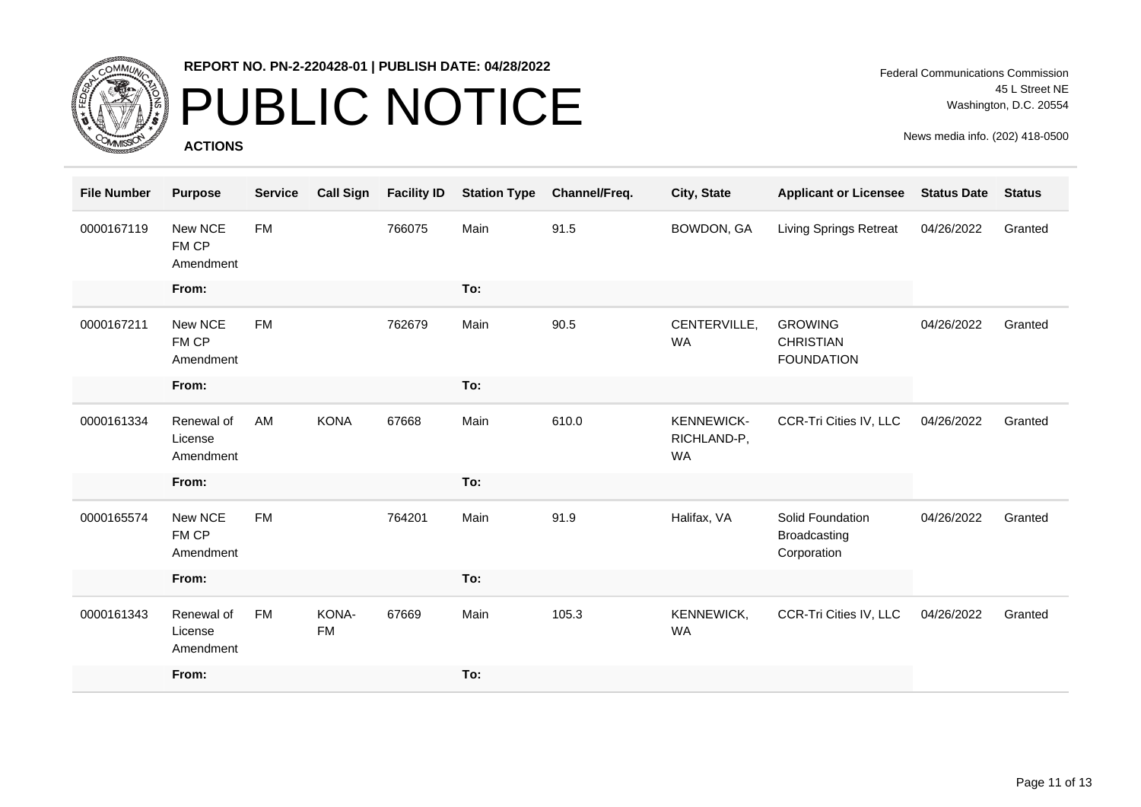

## PUBLIC NOTICE

**ACTIONS**

| <b>File Number</b> | <b>Purpose</b>                     | <b>Service</b> | <b>Call Sign</b>   | <b>Facility ID</b> | <b>Station Type</b> | Channel/Freq. | City, State                                   | <b>Applicant or Licensee</b>                            | <b>Status Date</b> | <b>Status</b> |
|--------------------|------------------------------------|----------------|--------------------|--------------------|---------------------|---------------|-----------------------------------------------|---------------------------------------------------------|--------------------|---------------|
| 0000167119         | New NCE<br>FM CP<br>Amendment      | <b>FM</b>      |                    | 766075             | Main                | 91.5          | BOWDON, GA                                    | <b>Living Springs Retreat</b>                           | 04/26/2022         | Granted       |
|                    | From:                              |                |                    |                    | To:                 |               |                                               |                                                         |                    |               |
| 0000167211         | New NCE<br>FM CP<br>Amendment      | <b>FM</b>      |                    | 762679             | Main                | 90.5          | CENTERVILLE,<br><b>WA</b>                     | <b>GROWING</b><br><b>CHRISTIAN</b><br><b>FOUNDATION</b> | 04/26/2022         | Granted       |
|                    | From:                              |                |                    |                    | To:                 |               |                                               |                                                         |                    |               |
| 0000161334         | Renewal of<br>License<br>Amendment | AM             | <b>KONA</b>        | 67668              | Main                | 610.0         | <b>KENNEWICK-</b><br>RICHLAND-P,<br><b>WA</b> | CCR-Tri Cities IV, LLC                                  | 04/26/2022         | Granted       |
|                    | From:                              |                |                    |                    | To:                 |               |                                               |                                                         |                    |               |
| 0000165574         | New NCE<br>FM CP<br>Amendment      | <b>FM</b>      |                    | 764201             | Main                | 91.9          | Halifax, VA                                   | Solid Foundation<br><b>Broadcasting</b><br>Corporation  | 04/26/2022         | Granted       |
|                    | From:                              |                |                    |                    | To:                 |               |                                               |                                                         |                    |               |
| 0000161343         | Renewal of<br>License<br>Amendment | <b>FM</b>      | KONA-<br><b>FM</b> | 67669              | Main                | 105.3         | KENNEWICK,<br><b>WA</b>                       | CCR-Tri Cities IV, LLC                                  | 04/26/2022         | Granted       |
|                    | From:                              |                |                    |                    | To:                 |               |                                               |                                                         |                    |               |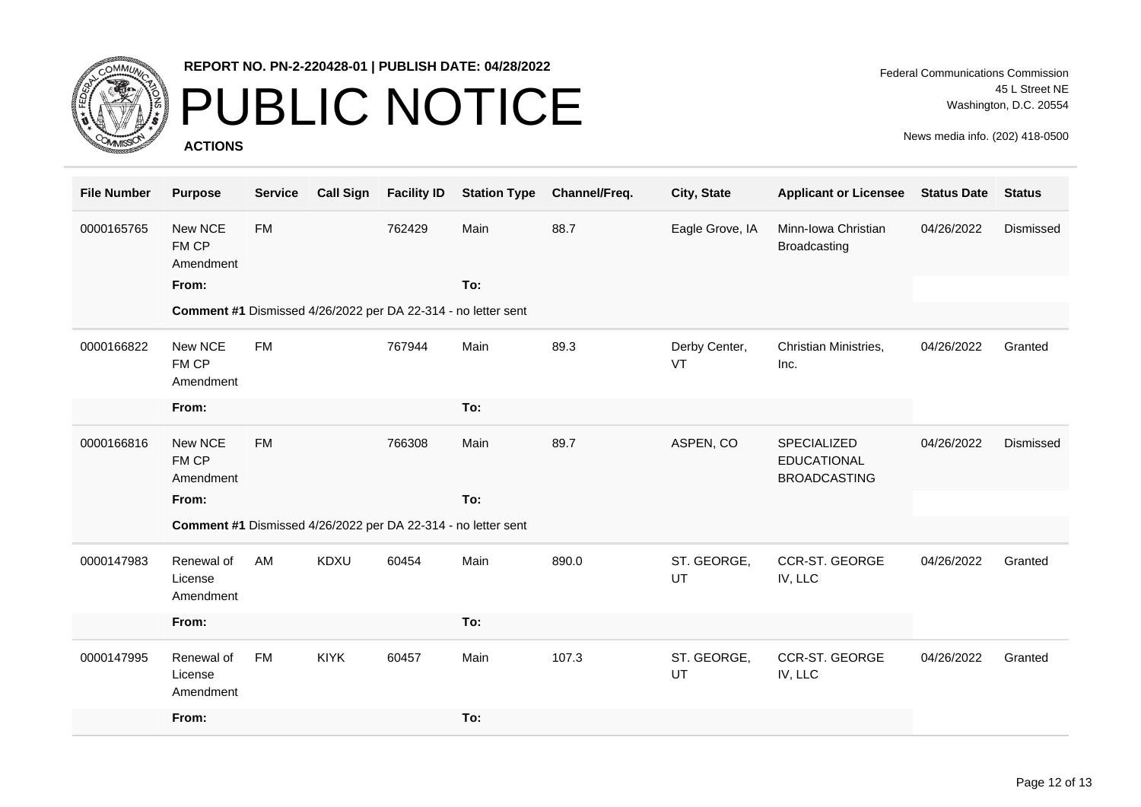

## PUBLIC NOTICE

**ACTIONS**

Federal Communications Commission 45 L Street NE Washington, D.C. 20554

| <b>File Number</b> | <b>Purpose</b>                     | <b>Service</b> | <b>Call Sign</b> | <b>Facility ID</b> | <b>Station Type</b>                                           | Channel/Freq. | City, State         | <b>Applicant or Licensee</b>                             | <b>Status Date</b> | <b>Status</b> |
|--------------------|------------------------------------|----------------|------------------|--------------------|---------------------------------------------------------------|---------------|---------------------|----------------------------------------------------------|--------------------|---------------|
| 0000165765         | New NCE<br>FM CP<br>Amendment      | <b>FM</b>      |                  | 762429             | Main                                                          | 88.7          | Eagle Grove, IA     | Minn-Iowa Christian<br><b>Broadcasting</b>               | 04/26/2022         | Dismissed     |
|                    | From:                              |                |                  |                    | To:                                                           |               |                     |                                                          |                    |               |
|                    |                                    |                |                  |                    | Comment #1 Dismissed 4/26/2022 per DA 22-314 - no letter sent |               |                     |                                                          |                    |               |
| 0000166822         | New NCE<br>FM CP<br>Amendment      | <b>FM</b>      |                  | 767944             | Main                                                          | 89.3          | Derby Center,<br>VT | Christian Ministries,<br>Inc.                            | 04/26/2022         | Granted       |
|                    | From:                              |                |                  |                    | To:                                                           |               |                     |                                                          |                    |               |
| 0000166816         | New NCE<br>FM CP<br>Amendment      | <b>FM</b>      |                  | 766308             | Main                                                          | 89.7          | ASPEN, CO           | SPECIALIZED<br><b>EDUCATIONAL</b><br><b>BROADCASTING</b> | 04/26/2022         | Dismissed     |
|                    | From:                              |                |                  |                    | To:                                                           |               |                     |                                                          |                    |               |
|                    |                                    |                |                  |                    | Comment #1 Dismissed 4/26/2022 per DA 22-314 - no letter sent |               |                     |                                                          |                    |               |
| 0000147983         | Renewal of<br>License<br>Amendment | AM             | <b>KDXU</b>      | 60454              | Main                                                          | 890.0         | ST. GEORGE,<br>UT   | CCR-ST. GEORGE<br>IV, LLC                                | 04/26/2022         | Granted       |
|                    | From:                              |                |                  |                    | To:                                                           |               |                     |                                                          |                    |               |
| 0000147995         | Renewal of<br>License<br>Amendment | <b>FM</b>      | <b>KIYK</b>      | 60457              | Main                                                          | 107.3         | ST. GEORGE,<br>UT   | CCR-ST. GEORGE<br>IV, LLC                                | 04/26/2022         | Granted       |
|                    | From:                              |                |                  |                    | To:                                                           |               |                     |                                                          |                    |               |